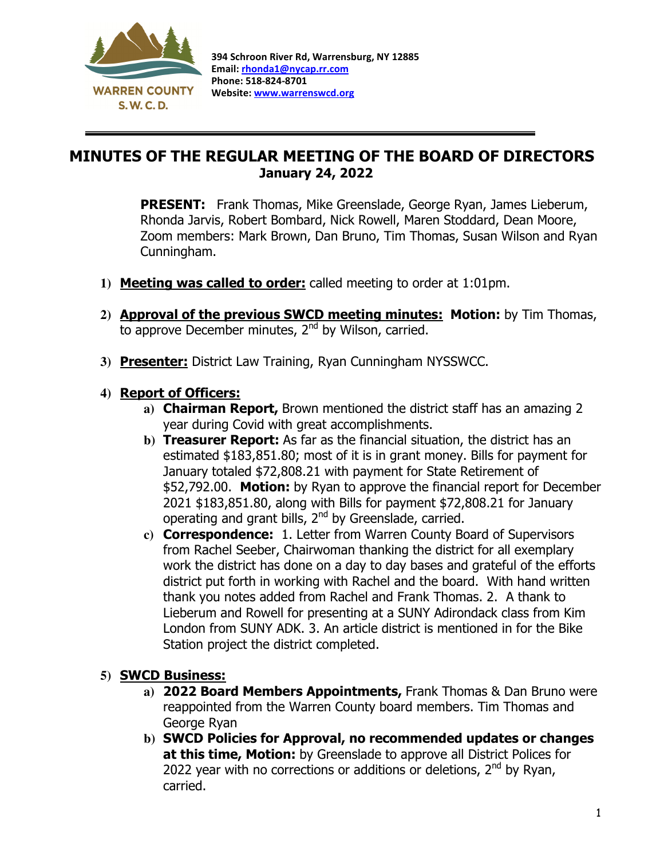

 $\overline{a}$ 

## MINUTES OF THE REGULAR MEETING OF THE BOARD OF DIRECTORS January 24, 2022

**PRESENT:** Frank Thomas, Mike Greenslade, George Ryan, James Lieberum, Rhonda Jarvis, Robert Bombard, Nick Rowell, Maren Stoddard, Dean Moore, Zoom members: Mark Brown, Dan Bruno, Tim Thomas, Susan Wilson and Ryan Cunningham.

- **1)** Meeting was called to order: called meeting to order at 1:01pm.
- 2) **Approval of the previous SWCD meeting minutes: Motion:** by Tim Thomas, to approve December minutes, 2<sup>nd</sup> by Wilson, carried.
- **3)** Presenter: District Law Training, Ryan Cunningham NYSSWCC.

## **4)** Report of Officers:

- **a)** Chairman Report, Brown mentioned the district staff has an amazing 2 year during Covid with great accomplishments.
- **b)** Treasurer Report: As far as the financial situation, the district has an estimated \$183,851.80; most of it is in grant money. Bills for payment for January totaled \$72,808.21 with payment for State Retirement of \$52,792.00. Motion: by Ryan to approve the financial report for December 2021 \$183,851.80, along with Bills for payment \$72,808.21 for January operating and grant bills, 2<sup>nd</sup> by Greenslade, carried.
- **c)** Correspondence: 1. Letter from Warren County Board of Supervisors from Rachel Seeber, Chairwoman thanking the district for all exemplary work the district has done on a day to day bases and grateful of the efforts district put forth in working with Rachel and the board. With hand written thank you notes added from Rachel and Frank Thomas. 2. A thank to Lieberum and Rowell for presenting at a SUNY Adirondack class from Kim London from SUNY ADK. 3. An article district is mentioned in for the Bike Station project the district completed.

## **5)** SWCD Business:

- **a)** 2022 Board Members Appointments, Frank Thomas & Dan Bruno were reappointed from the Warren County board members. Tim Thomas and George Ryan
- **b)** SWCD Policies for Approval, no recommended updates or changes at this time, Motion: by Greenslade to approve all District Polices for 2022 year with no corrections or additions or deletions, 2<sup>nd</sup> by Ryan, carried.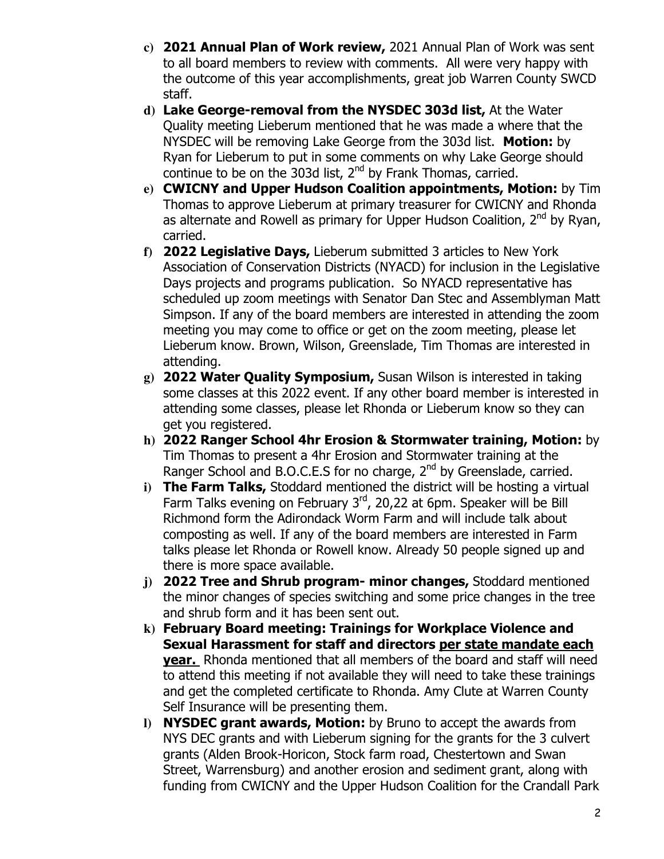- **c)** 2021 Annual Plan of Work review, 2021 Annual Plan of Work was sent to all board members to review with comments. All were very happy with the outcome of this year accomplishments, great job Warren County SWCD staff.
- **d)** Lake George-removal from the NYSDEC 303d list, At the Water Quality meeting Lieberum mentioned that he was made a where that the NYSDEC will be removing Lake George from the 303d list. Motion: by Ryan for Lieberum to put in some comments on why Lake George should continue to be on the 303d list,  $2<sup>nd</sup>$  by Frank Thomas, carried.
- **e)** CWICNY and Upper Hudson Coalition appointments, Motion: by Tim Thomas to approve Lieberum at primary treasurer for CWICNY and Rhonda as alternate and Rowell as primary for Upper Hudson Coalition, 2<sup>nd</sup> by Ryan, carried.
- **f)** 2022 Legislative Days, Lieberum submitted 3 articles to New York Association of Conservation Districts (NYACD) for inclusion in the Legislative Days projects and programs publication. So NYACD representative has scheduled up zoom meetings with Senator Dan Stec and Assemblyman Matt Simpson. If any of the board members are interested in attending the zoom meeting you may come to office or get on the zoom meeting, please let Lieberum know. Brown, Wilson, Greenslade, Tim Thomas are interested in attending.
- **g)** 2022 Water Quality Symposium, Susan Wilson is interested in taking some classes at this 2022 event. If any other board member is interested in attending some classes, please let Rhonda or Lieberum know so they can get you registered.
- **h)** 2022 Ranger School 4hr Erosion & Stormwater training, Motion: by Tim Thomas to present a 4hr Erosion and Stormwater training at the Ranger School and B.O.C.E.S for no charge,  $2^{nd}$  by Greenslade, carried.
- **i)** The Farm Talks, Stoddard mentioned the district will be hosting a virtual Farm Talks evening on February 3<sup>rd</sup>, 20,22 at 6pm. Speaker will be Bill Richmond form the Adirondack Worm Farm and will include talk about composting as well. If any of the board members are interested in Farm talks please let Rhonda or Rowell know. Already 50 people signed up and there is more space available.
- **j)** 2022 Tree and Shrub program- minor changes, Stoddard mentioned the minor changes of species switching and some price changes in the tree and shrub form and it has been sent out.
- **k)** February Board meeting: Trainings for Workplace Violence and Sexual Harassment for staff and directors per state mandate each year. Rhonda mentioned that all members of the board and staff will need to attend this meeting if not available they will need to take these trainings and get the completed certificate to Rhonda. Amy Clute at Warren County Self Insurance will be presenting them.
- **l)** NYSDEC grant awards, Motion: by Bruno to accept the awards from NYS DEC grants and with Lieberum signing for the grants for the 3 culvert grants (Alden Brook-Horicon, Stock farm road, Chestertown and Swan Street, Warrensburg) and another erosion and sediment grant, along with funding from CWICNY and the Upper Hudson Coalition for the Crandall Park